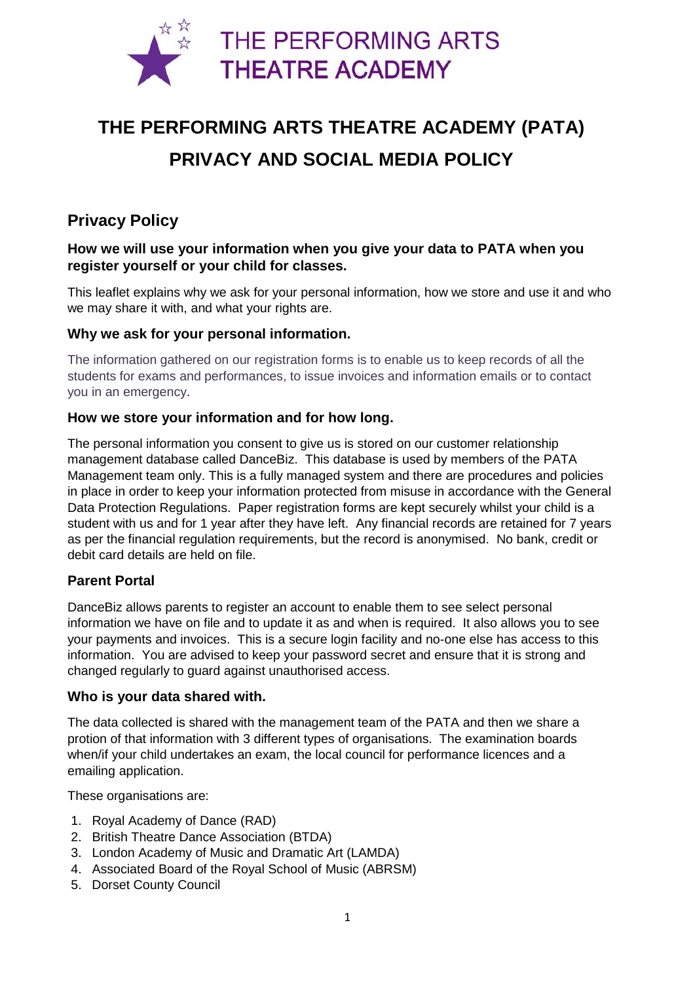

# **THE PERFORMING ARTS THEATRE ACADEMY (PATA) PRIVACY AND SOCIAL MEDIA POLICY**

# **Privacy Policy**

## **How we will use your information when you give your data to PATA when you register yourself or your child for classes.**

This leaflet explains why we ask for your personal information, how we store and use it and who we may share it with, and what your rights are.

#### **Why we ask for your personal information.**

The information gathered on our registration forms is to enable us to keep records of all the students for exams and performances, to issue invoices and information emails or to contact you in an emergency.

#### **How we store your information and for how long.**

The personal information you consent to give us is stored on our customer relationship management database called DanceBiz. This database is used by members of the PATA Management team only. This is a fully managed system and there are procedures and policies in place in order to keep your information protected from misuse in accordance with the General Data Protection Regulations. Paper registration forms are kept securely whilst your child is a student with us and for 1 year after they have left. Any financial records are retained for 7 years as per the financial regulation requirements, but the record is anonymised. No bank, credit or debit card details are held on file.

### **Parent Portal**

DanceBiz allows parents to register an account to enable them to see select personal information we have on file and to update it as and when is required. It also allows you to see your payments and invoices. This is a secure login facility and no-one else has access to this information. You are advised to keep your password secret and ensure that it is strong and changed regularly to guard against unauthorised access.

#### **Who is your data shared with.**

The data collected is shared with the management team of the PATA and then we share a protion of that information with 3 different types of organisations. The examination boards when/if your child undertakes an exam, the local council for performance licences and a emailing application.

These organisations are:

- 1. Royal Academy of Dance (RAD)
- 2. British Theatre Dance Association (BTDA)
- 3. London Academy of Music and Dramatic Art (LAMDA)
- 4. Associated Board of the Royal School of Music (ABRSM)
- 5. Dorset County Council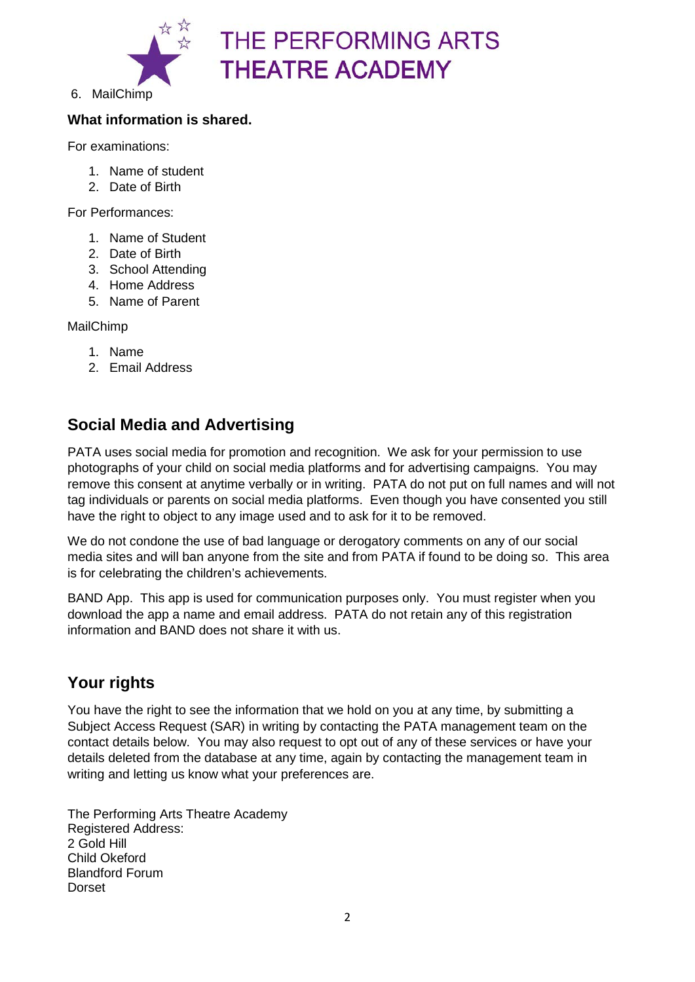

6. MailChimp

## **What information is shared.**

For examinations:

- 1. Name of student
- 2. Date of Birth

For Performances:

- 1. Name of Student
- 2. Date of Birth
- 3. School Attending
- 4. Home Address
- 5. Name of Parent

MailChimp

- 1. Name
- 2. Email Address

# **Social Media and Advertising**

PATA uses social media for promotion and recognition. We ask for your permission to use photographs of your child on social media platforms and for advertising campaigns. You may remove this consent at anytime verbally or in writing. PATA do not put on full names and will not tag individuals or parents on social media platforms. Even though you have consented you still have the right to object to any image used and to ask for it to be removed.

We do not condone the use of bad language or derogatory comments on any of our social media sites and will ban anyone from the site and from PATA if found to be doing so. This area is for celebrating the children's achievements.

BAND App. This app is used for communication purposes only. You must register when you download the app a name and email address. PATA do not retain any of this registration information and BAND does not share it with us.

## **Your rights**

You have the right to see the information that we hold on you at any time, by submitting a Subject Access Request (SAR) in writing by contacting the PATA management team on the contact details below. You may also request to opt out of any of these services or have your details deleted from the database at any time, again by contacting the management team in writing and letting us know what your preferences are.

The Performing Arts Theatre Academy Registered Address: 2 Gold Hill Child Okeford Blandford Forum Dorset